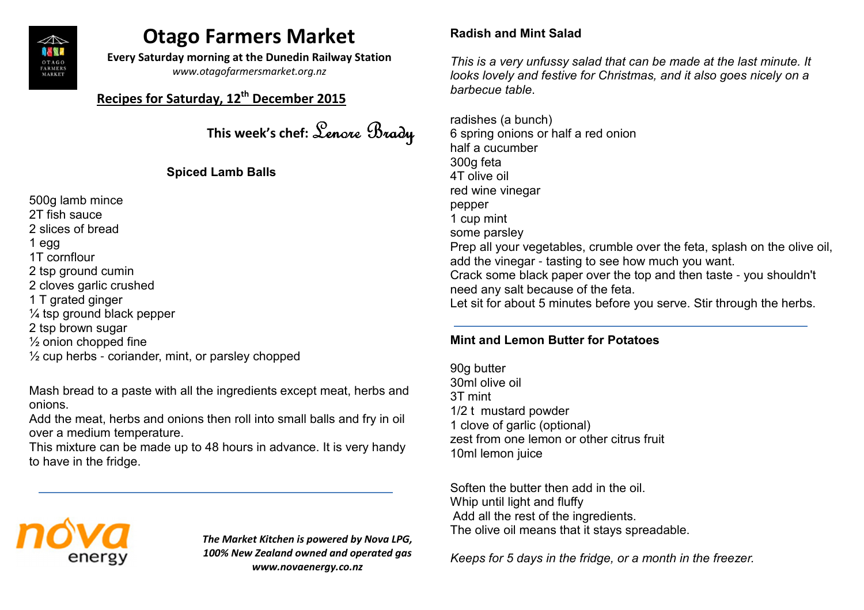

# Otago Farmers Market

Every Saturday morning at the Dunedin Railway Station

www.otagofarmersmarket.org.nz

# Recipes for Saturday, 12<sup>th</sup> December 2015

This week's chef: Lenore Brady

## Spiced Lamb Balls

500g lamb mince2T fish sauce 2 slices of bread1 egg 1T cornflour 2 tsp ground cumin 2 cloves garlic crushed1 T grated ginger $\%$  tsp ground black pepper 2 tsp brown sugar $\frac{1}{2}$  onion chopped fine  $\%$  cup herbs - coriander, mint, or parsley chopped

Mash bread to a paste with all the ingredients except meat, herbs and onions.

 Add the meat, herbs and onions then roll into small balls and fry in oil over a medium temperature.

 This mixture can be made up to 48 hours in advance. It is very handy to have in the fridge.



The Market Kitchen is powered by Nova LPG,100% New Zealand owned and operated gas www.novaenergy.co.nz

## Radish and Mint Salad

This is a very unfussy salad that can be made at the last minute. It looks lovely and festive for Christmas, and it also goes nicely on a

barbecue table.<br>radishes (a bunch) 6 spring onions or half a red onionhalf a cucumber300g feta 4T olive oilred wine vinegarpepper 1 cup mintsome parsley Prep all your vegetables, crumble over the feta, splash on the olive oil, add the vinegar - tasting to see how much you want. Crack some black paper over the top and then taste - you shouldn't need any salt because of the feta. Let sit for about 5 minutes before you serve. Stir through the herbs.

## Mint and Lemon Butter for Potatoes

90g butter 30ml olive oil3T mint 1/2 t mustard powder 1 clove of garlic (optional) zest from one lemon or other citrus fruit10ml lemon juice

Soften the butter then add in the oil. Whip until light and fluffy Add all the rest of the ingredients. The olive oil means that it stays spreadable.

Keeps for 5 days in the fridge, or a month in the freezer.